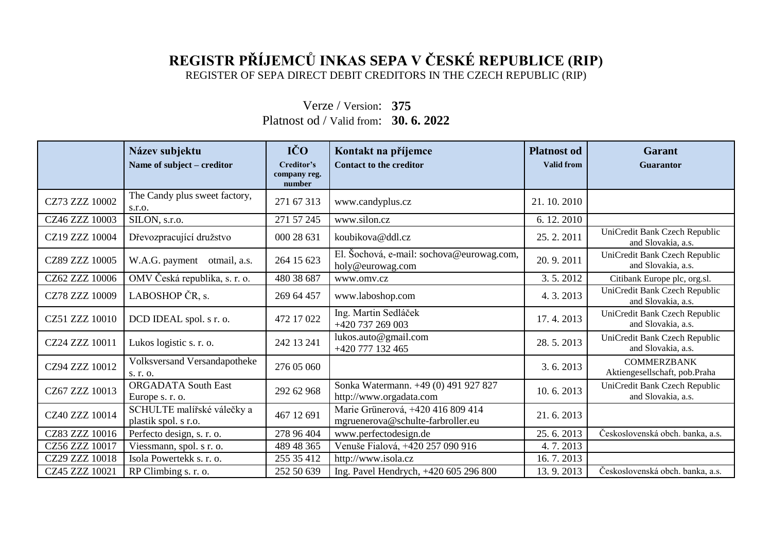## **REGISTR PŘÍJEMCŮ INKAS SEPA V ČESKÉ REPUBLICE (RIP)** REGISTER OF SEPA DIRECT DEBIT CREDITORS IN THE CZECH REPUBLIC (RIP)

Verze / Version: **375** Platnost od / Valid from: **30. 6. 2022**

|                | Název subjektu<br>Name of subject - creditor       | IČO<br>Creditor's<br>company reg.<br>number | Kontakt na příjemce<br><b>Contact to the creditor</b>                  | <b>Platnost od</b><br><b>Valid from</b> | <b>Garant</b><br><b>Guarantor</b>                   |
|----------------|----------------------------------------------------|---------------------------------------------|------------------------------------------------------------------------|-----------------------------------------|-----------------------------------------------------|
| CZ73 ZZZ 10002 | The Candy plus sweet factory,<br>S.T.O.            | 271 67 313                                  | www.candyplus.cz                                                       | 21.10.2010                              |                                                     |
| CZ46 ZZZ 10003 | $\overline{\text{SILON}, \text{s.r.o.}}$           | 271 57 245                                  | www.silon.cz                                                           | 6.12.2010                               |                                                     |
| CZ19 ZZZ 10004 | Dřevozpracující družstvo                           | 000 28 631                                  | koubikova@ddl.cz                                                       | 25.2.2011                               | UniCredit Bank Czech Republic<br>and Slovakia, a.s. |
| CZ89 ZZZ 10005 | W.A.G. payment otmail, a.s.                        | 264 15 623                                  | El. Šochová, e-mail: sochova@eurowag.com,<br>holy@eurowag.com          | 20.9.2011                               | UniCredit Bank Czech Republic<br>and Slovakia, a.s. |
| CZ62 ZZZ 10006 | OMV Česká republika, s. r. o.                      | 480 38 687                                  | www.omv.cz                                                             | 3.5.2012                                | Citibank Europe plc, org.sl.                        |
| CZ78 ZZZ 10009 | LABOSHOP ČR, s.                                    | 269 64 457                                  | www.laboshop.com                                                       | 4.3.2013                                | UniCredit Bank Czech Republic<br>and Slovakia, a.s. |
| CZ51 ZZZ 10010 | DCD IDEAL spol. s r. o.                            | 472 17 022                                  | Ing. Martin Sedláček<br>+420 737 269 003                               | 17.4.2013                               | UniCredit Bank Czech Republic<br>and Slovakia, a.s. |
| CZ24 ZZZ 10011 | Lukos logistic s. r. o.                            | 242 13 241                                  | lukos.auto@gmail.com<br>+420 777 132 465                               | 28.5.2013                               | UniCredit Bank Czech Republic<br>and Slovakia, a.s. |
| CZ94 ZZZ 10012 | <b>Volksversand Versandapotheke</b><br>s. r. o.    | 276 05 060                                  |                                                                        | 3.6.2013                                | <b>COMMERZBANK</b><br>Aktiengesellschaft, pob.Praha |
| CZ67 ZZZ 10013 | <b>ORGADATA South East</b><br>Europe s. r. o.      | 292 62 968                                  | Sonka Watermann. +49 (0) 491 927 827<br>http://www.orgadata.com        | 10.6.2013                               | UniCredit Bank Czech Republic<br>and Slovakia, a.s. |
| CZ40 ZZZ 10014 | SCHULTE malířské válečky a<br>plastik spol. s r.o. | 467 12 691                                  | Marie Grünerová, +420 416 809 414<br>mgruenerova@schulte-farbroller.eu | 21.6.2013                               |                                                     |
| CZ83 ZZZ 10016 | Perfecto design, s. r. o.                          | 278 96 404                                  | www.perfectodesign.de                                                  | 25.6.2013                               | Československá obch. banka, a.s.                    |
| CZ56 ZZZ 10017 | Viessmann, spol. s r. o.                           | 489 48 365                                  | Venuše Fialová, +420 257 090 916                                       | 4.7.2013                                |                                                     |
| CZ29 ZZZ 10018 | Isola Powertekk s. r. o.                           | 255 35 412                                  | http://www.isola.cz                                                    | 16.7.2013                               |                                                     |
| CZ45 ZZZ 10021 | RP Climbing s. r. o.                               | 252 50 639                                  | Ing. Pavel Hendrych, +420 605 296 800                                  | 13.9.2013                               | Československá obch. banka, a.s.                    |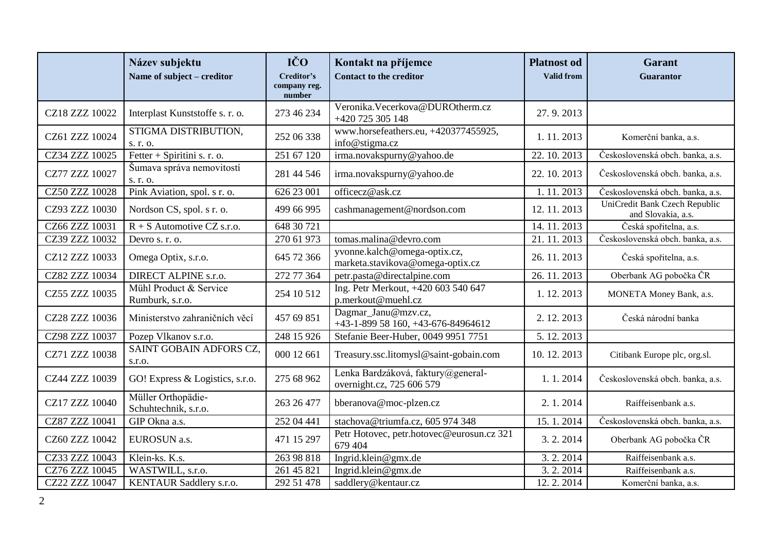|                | Název subjektu<br>Name of subject - creditor | IČO<br>Creditor's<br>company reg. | Kontakt na příjemce<br><b>Contact to the creditor</b>            | <b>Platnost od</b><br><b>Valid from</b> | <b>Garant</b><br>Guarantor                          |
|----------------|----------------------------------------------|-----------------------------------|------------------------------------------------------------------|-----------------------------------------|-----------------------------------------------------|
| CZ18 ZZZ 10022 | Interplast Kunststoffe s. r. o.              | number<br>273 46 234              | Veronika. Vecerkova@DUROtherm.cz<br>+420 725 305 148             | 27.9.2013                               |                                                     |
| CZ61 ZZZ 10024 | STIGMA DISTRIBUTION,<br>s. r. o.             | 252 06 338                        | www.horsefeathers.eu, +420377455925,<br>info@stigma.cz           | 1.11.2013                               | Komerční banka, a.s.                                |
| CZ34 ZZZ 10025 | Fetter + Spiritini s. r. o.                  | $\overline{251}$ 67 120           | irma.novakspurny@yahoo.de                                        | 22.10.2013                              | Československá obch. banka, a.s.                    |
| CZ77 ZZZ 10027 | Šumava správa nemovitostí<br>s. r. o.        | 281 44 546                        | irma.novakspurny@yahoo.de                                        | 22.10.2013                              | Československá obch. banka, a.s.                    |
| CZ50 ZZZ 10028 | Pink Aviation, spol. s r. o.                 | 626 23 001                        | officecz@ask.cz                                                  | 1.11.2013                               | Československá obch. banka, a.s.                    |
| CZ93 ZZZ 10030 | Nordson CS, spol. s r. o.                    | 499 66 995                        | cashmanagement@nordson.com                                       | 12.11.2013                              | UniCredit Bank Czech Republic<br>and Slovakia, a.s. |
| CZ66 ZZZ 10031 | $R + S$ Automotive CZ s.r.o.                 | 648 30 721                        |                                                                  | 14.11.2013                              | Česká spořitelna, a.s.                              |
| CZ39 ZZZ 10032 | Devro s. r. o.                               | 270 61 973                        | tomas.malina@devro.com                                           | 21.11.2013                              | Československá obch. banka, a.s.                    |
| CZ12 ZZZ 10033 | Omega Optix, s.r.o.                          | 645 72 366                        | yvonne.kalch@omega-optix.cz,<br>marketa.stavikova@omega-optix.cz | 26.11.2013                              | Česká spořitelna, a.s.                              |
| CZ82 ZZZ 10034 | DIRECT ALPINE s.r.o.                         | 272 77 364                        | petr.pasta@directalpine.com                                      | 26.11.2013                              | Oberbank AG pobočka ČR                              |
| CZ55 ZZZ 10035 | Mühl Product & Service<br>Rumburk, s.r.o.    | 254 10 512                        | Ing. Petr Merkout, +420 603 540 647<br>p.merkout@muehl.cz        | 1.12.2013                               | MONETA Money Bank, a.s.                             |
| CZ28 ZZZ 10036 | Ministerstvo zahraničních věcí               | 457 69 851                        | Dagmar_Janu@mzv.cz,<br>+43-1-899 58 160, +43-676-84964612        | 2.12.2013                               | Česká národní banka                                 |
| CZ98 ZZZ 10037 | Pozep Vlkanov s.r.o.                         | 248 15 926                        | Stefanie Beer-Huber, 0049 9951 7751                              | 5.12.2013                               |                                                     |
| CZ71 ZZZ 10038 | SAINT GOBAIN ADFORS CZ,<br>s.r.o.            | 000 12 661                        | Treasury.ssc.litomysl@saint-gobain.com                           | 10.12.2013                              | Citibank Europe plc, org.sl.                        |
| CZ44 ZZZ 10039 | GO! Express & Logistics, s.r.o.              | 275 68 962                        | Lenka Bardzáková, faktury@general-<br>overnight.cz, 725 606 579  | 1.1.2014                                | Československá obch. banka, a.s.                    |
| CZ17 ZZZ 10040 | Müller Orthopädie-<br>Schuhtechnik, s.r.o.   | 263 26 477                        | bberanova@moc-plzen.cz                                           | 2.1.2014                                | Raiffeisenbank a.s.                                 |
| CZ87 ZZZ 10041 | GIP Okna a.s.                                | 252 04 441                        | stachova@triumfa.cz, 605 974 348                                 | 15.1.2014                               | Československá obch. banka, a.s.                    |
| CZ60 ZZZ 10042 | EUROSUN a.s.                                 | 471 15 297                        | Petr Hotovec, petr.hotovec@eurosun.cz 321<br>679 404             | 3.2.2014                                | Oberbank AG pobočka ČR                              |
| CZ33 ZZZ 10043 | Klein-ks. K.s.                               | 263 98 818                        | Ingrid.klein@gmx.de                                              | 3.2.2014                                | Raiffeisenbank a.s.                                 |
| CZ76 ZZZ 10045 | WASTWILL, s.r.o.                             | 261 45 821                        | Ingrid.klein@gmx.de                                              | 3.2.2014                                | Raiffeisenbank a.s.                                 |
| CZ22 ZZZ 10047 | KENTAUR Saddlery s.r.o.                      | 292 51 478                        | saddlery@kentaur.cz                                              | 12.2.2014                               | Komerční banka, a.s.                                |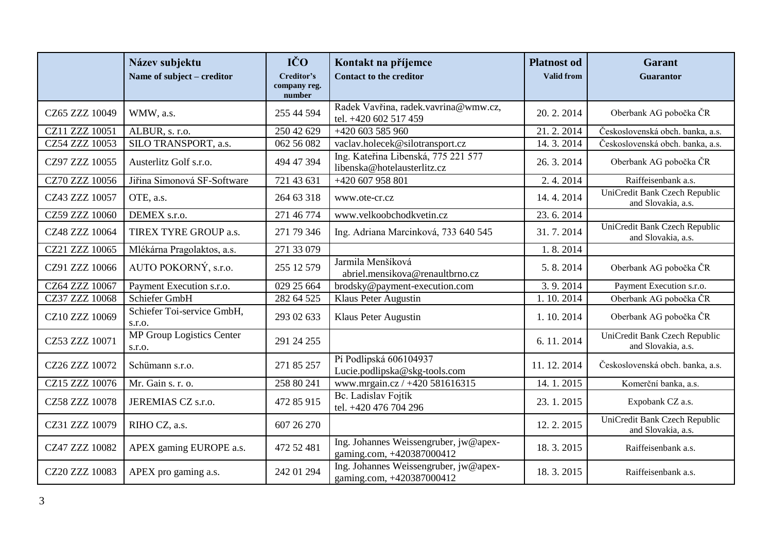|                | Název subjektu<br>Name of subject – creditor | IČO<br>Creditor's<br>company reg.<br>number | Kontakt na příjemce<br><b>Contact to the creditor</b>              | <b>Platnost od</b><br><b>Valid from</b> | <b>Garant</b><br>Guarantor                          |
|----------------|----------------------------------------------|---------------------------------------------|--------------------------------------------------------------------|-----------------------------------------|-----------------------------------------------------|
| CZ65 ZZZ 10049 | WMW, a.s.                                    | 255 44 594                                  | Radek Vavřina, radek.vavrina@wmw.cz,<br>tel. +420 602 517 459      | 20.2.2014                               | Oberbank AG pobočka ČR                              |
| CZ11 ZZZ 10051 | ALBUR, s. r.o.                               | 250 42 629                                  | +420 603 585 960                                                   | 21.2.2014                               | Československá obch. banka, a.s.                    |
| CZ54 ZZZ 10053 | SILO TRANSPORT, a.s.                         | 062 56 082                                  | vaclav.holecek@silotransport.cz                                    | 14.3.2014                               | Československá obch. banka, a.s.                    |
| CZ97 ZZZ 10055 | Austerlitz Golf s.r.o.                       | 494 47 394                                  | Ing. Kateřina Libenská, 775 221 577<br>libenska@hotelausterlitz.cz | 26.3.2014                               | Oberbank AG pobočka ČR                              |
| CZ70 ZZZ 10056 | Jiřina Simonová SF-Software                  | 721 43 631                                  | +420 607 958 801                                                   | 2.4.2014                                | Raiffeisenbank a.s.                                 |
| CZ43 ZZZ 10057 | OTE, a.s.                                    | 264 63 318                                  | www.ote-cr.cz                                                      | 14.4.2014                               | UniCredit Bank Czech Republic<br>and Slovakia, a.s. |
| CZ59 ZZZ 10060 | DEMEX s.r.o.                                 | 271 46 774                                  | www.velkoobchodkvetin.cz                                           | 23.6.2014                               |                                                     |
| CZ48 ZZZ 10064 | TIREX TYRE GROUP a.s.                        | 271 79 346                                  | Ing. Adriana Marcinková, 733 640 545                               | 31.7.2014                               | UniCredit Bank Czech Republic<br>and Slovakia, a.s. |
| CZ21 ZZZ 10065 | Mlékárna Pragolaktos, a.s.                   | 271 33 079                                  |                                                                    | 1.8.2014                                |                                                     |
| CZ91 ZZZ 10066 | AUTO POKORNÝ, s.r.o.                         | 255 12 579                                  | Jarmila Menšíková<br>abriel.mensikova@renaultbrno.cz               | 5.8.2014                                | Oberbank AG pobočka ČR                              |
| CZ64 ZZZ 10067 | Payment Execution s.r.o.                     | 029 25 664                                  | brodsky@payment-execution.com                                      | 3.9.2014                                | Payment Execution s.r.o.                            |
| CZ37 ZZZ 10068 | Schiefer GmbH                                | 282 64 525                                  | Klaus Peter Augustin                                               | 1.10.2014                               | Oberbank AG pobočka ČR                              |
| CZ10 ZZZ 10069 | Schiefer Toi-service GmbH,<br>s.r.o.         | 293 02 633                                  | Klaus Peter Augustin                                               | 1.10.2014                               | Oberbank AG pobočka ČR                              |
| CZ53 ZZZ 10071 | MP Group Logistics Center<br>s.r.o.          | 291 24 255                                  |                                                                    | 6.11.2014                               | UniCredit Bank Czech Republic<br>and Slovakia, a.s. |
| CZ26 ZZZ 10072 | Schümann s.r.o.                              | 271 85 257                                  | Pí Podlipská 606104937<br>Lucie.podlipska@skg-tools.com            | 11.12.2014                              | Československá obch. banka, a.s.                    |
| CZ15 ZZZ 10076 | Mr. Gain s. r. o.                            | 258 80 241                                  | www.mrgain.cz / +420 581616315                                     | 14.1.2015                               | Komerční banka, a.s.                                |
| CZ58 ZZZ 10078 | JEREMIAS CZ s.r.o.                           | 472 85 915                                  | Bc. Ladislav Fojtík<br>tel. +420 476 704 296                       | 23.1.2015                               | Expobank CZ a.s.                                    |
| CZ31 ZZZ 10079 | RIHO CZ, a.s.                                | 607 26 270                                  |                                                                    | 12.2.2015                               | UniCredit Bank Czech Republic<br>and Slovakia, a.s. |
| CZ47 ZZZ 10082 | APEX gaming EUROPE a.s.                      | 472 52 481                                  | Ing. Johannes Weissengruber, jw@apex-<br>gaming.com, +420387000412 | 18.3.2015                               | Raiffeisenbank a.s.                                 |
| CZ20 ZZZ 10083 | APEX pro gaming a.s.                         | 242 01 294                                  | Ing. Johannes Weissengruber, jw@apex-<br>gaming.com, +420387000412 | 18.3.2015                               | Raiffeisenbank a.s.                                 |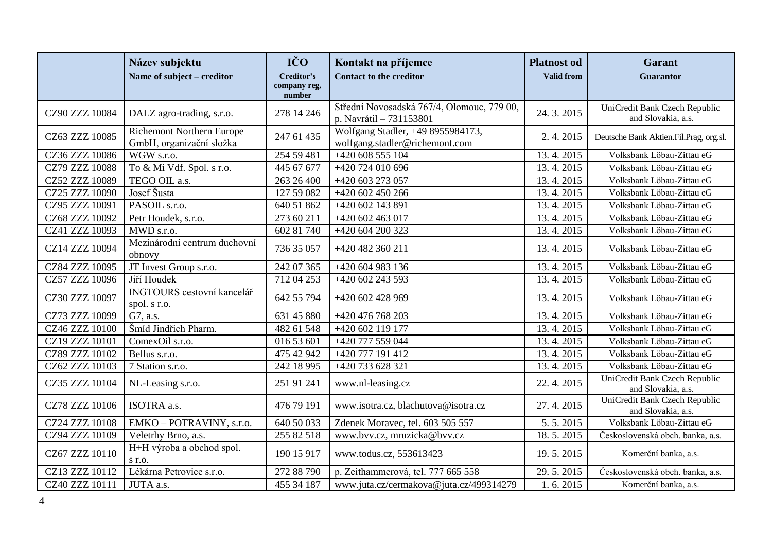|                       | Název subjektu<br>Name of subject – creditor                 | IČO<br>Creditor's<br>company reg.<br>number | Kontakt na příjemce<br><b>Contact to the creditor</b>                 | <b>Platnost od</b><br><b>Valid from</b> | <b>Garant</b><br>Guarantor                          |
|-----------------------|--------------------------------------------------------------|---------------------------------------------|-----------------------------------------------------------------------|-----------------------------------------|-----------------------------------------------------|
| CZ90 ZZZ 10084        | DALZ agro-trading, s.r.o.                                    | 278 14 246                                  | Střední Novosadská 767/4, Olomouc, 779 00,<br>p. Navrátil - 731153801 | 24.3.2015                               | UniCredit Bank Czech Republic<br>and Slovakia, a.s. |
| CZ63 ZZZ 10085        | <b>Richemont Northern Europe</b><br>GmbH, organizační složka | 247 61 435                                  | Wolfgang Stadler, +49 8955984173,<br>wolfgang.stadler@richemont.com   | 2.4.2015                                | Deutsche Bank Aktien.Fil.Prag, org.sl.              |
| CZ36 ZZZ 10086        | WGW s.r.o.                                                   | 254 59 481                                  | +420 608 555 104                                                      | 13.4.2015                               | Volksbank Löbau-Zittau eG                           |
| CZ79 ZZZ 10088        | To & Mi Vdf. Spol. s r.o.                                    | 445 67 677                                  | +420 724 010 696                                                      | 13.4.2015                               | Volksbank Löbau-Zittau eG                           |
| CZ52 ZZZ 10089        | TEGO OIL a.s.                                                | 263 26 400                                  | +420 603 273 057                                                      | 13.4.2015                               | Volksbank Löbau-Zittau eG                           |
| CZ25 ZZZ 10090        | Josef Šusta                                                  | 127 59 082                                  | $\overline{+420}$ 602 450 266                                         | 13.4.2015                               | Volksbank Löbau-Zittau eG                           |
| CZ95 ZZZ 10091        | PASOIL s.r.o.                                                | 640 51 862                                  | +420 602 143 891                                                      | 13.4.2015                               | Volksbank Löbau-Zittau eG                           |
| CZ68 ZZZ 10092        | Petr Houdek, s.r.o.                                          | 273 60 211                                  | +420 602 463 017                                                      | 13.4.2015                               | Volksbank Löbau-Zittau eG                           |
| CZ41 ZZZ 10093        | MWD s.r.o.                                                   | 602 81 740                                  | +420 604 200 323                                                      | 13.4.2015                               | Volksbank Löbau-Zittau eG                           |
| CZ14 ZZZ 10094        | Mezinárodní centrum duchovní<br>obnovy                       | 736 35 057                                  | +420 482 360 211                                                      | 13.4.2015                               | Volksbank Löbau-Zittau eG                           |
| CZ84 ZZZ 10095        | JT Invest Group s.r.o.                                       | 242 07 365                                  | $+420$ 604 983 136                                                    | 13.4.2015                               | Volksbank Löbau-Zittau eG                           |
| CZ57 ZZZ 10096        | Jiří Houdek                                                  | 712 04 253                                  | +420 602 243 593                                                      | 13.4.2015                               | Volksbank Löbau-Zittau eG                           |
| CZ30 ZZZ 10097        | INGTOURS cestovní kancelář<br>spol. s r.o.                   | 642 55 794                                  | +420 602 428 969                                                      | 13.4.2015                               | Volksbank Löbau-Zittau eG                           |
| CZ73 ZZZ 10099        | G7, a.s.                                                     | 631 45 880                                  | +420 476 768 203                                                      | 13.4.2015                               | Volksbank Löbau-Zittau eG                           |
| CZ46 ZZZ 10100        | Šmíd Jindřich Pharm.                                         | 482 61 548                                  | +420 602 119 177                                                      | 13.4.2015                               | Volksbank Löbau-Zittau eG                           |
| CZ19 ZZZ 10101        | ComexOil s.r.o.                                              | 016 53 601                                  | +420 777 559 044                                                      | 13.4.2015                               | Volksbank Löbau-Zittau eG                           |
| CZ89 ZZZ 10102        | Bellus s.r.o.                                                | 475 42 942                                  | +420 777 191 412                                                      | 13.4.2015                               | Volksbank Löbau-Zittau eG                           |
| CZ62 ZZZ 10103        | 7 Station s.r.o.                                             | 242 18 995                                  | +420 733 628 321                                                      | 13.4.2015                               | Volksbank Löbau-Zittau eG                           |
| CZ35 ZZZ 10104        | NL-Leasing s.r.o.                                            | 251 91 241                                  | www.nl-leasing.cz                                                     | 22.4.2015                               | UniCredit Bank Czech Republic<br>and Slovakia, a.s. |
| CZ78 ZZZ 10106        | ISOTRA a.s.                                                  | 476 79 191                                  | www.isotra.cz, blachutova@isotra.cz                                   | 27.4.2015                               | UniCredit Bank Czech Republic<br>and Slovakia, a.s. |
| <b>CZ24 ZZZ 10108</b> | EMKO-POTRAVINY, s.r.o.                                       | 640 50 033                                  | Zdenek Moravec, tel. 603 505 557                                      | 5.5.2015                                | Volksbank Löbau-Zittau eG                           |
| CZ94 ZZZ 10109        | Veletrhy Brno, a.s.                                          | 255 82 518                                  | www.bvv.cz, mruzicka@bvv.cz                                           | 18.5.2015                               | Československá obch. banka, a.s.                    |
| CZ67 ZZZ 10110        | H+H výroba a obchod spol.<br>$S$ r.o.                        | 190 15 917                                  | www.todus.cz, 553613423                                               | 19.5.2015                               | Komerční banka, a.s.                                |
| CZ13 ZZZ 10112        | Lékárna Petrovice s.r.o.                                     | 272 88 790                                  | p. Zeithammerová, tel. 777 665 558                                    | 29.5.2015                               | Československá obch. banka, a.s.                    |
| CZ40 ZZZ 10111        | JUTA a.s.                                                    | 455 34 187                                  | www.juta.cz/cermakova@juta.cz/499314279                               | 1.6.2015                                | Komerční banka, a.s.                                |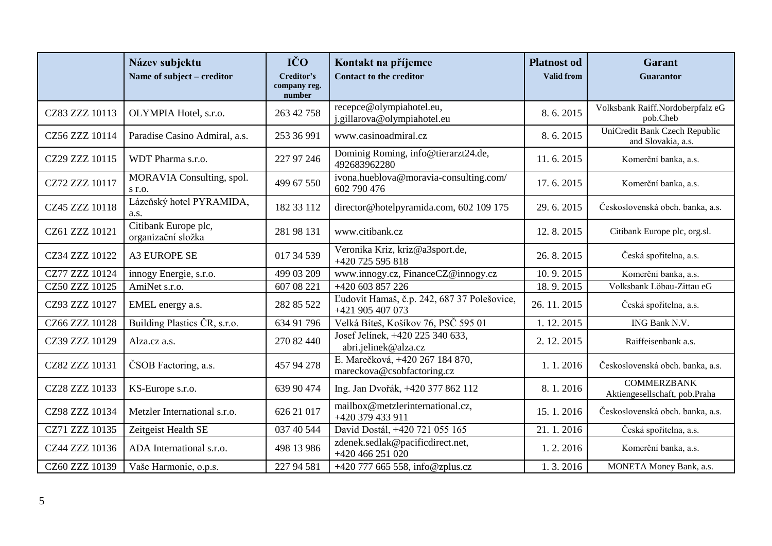|                | Název subjektu<br>Name of subject – creditor | IČO<br>Creditor's<br>company reg.<br>number | Kontakt na příjemce<br><b>Contact to the creditor</b>           | <b>Platnost</b> od<br><b>Valid from</b> | <b>Garant</b><br><b>Guarantor</b>                   |
|----------------|----------------------------------------------|---------------------------------------------|-----------------------------------------------------------------|-----------------------------------------|-----------------------------------------------------|
| CZ83 ZZZ 10113 | OLYMPIA Hotel, s.r.o.                        | 263 42 758                                  | recepce@olympiahotel.eu,<br>j.gillarova@olympiahotel.eu         | 8.6.2015                                | Volksbank Raiff.Nordoberpfalz eG<br>pob.Cheb        |
| CZ56 ZZZ 10114 | Paradise Casino Admiral, a.s.                | 253 36 991                                  | www.casinoadmiral.cz                                            | 8.6.2015                                | UniCredit Bank Czech Republic<br>and Slovakia, a.s. |
| CZ29 ZZZ 10115 | WDT Pharma s.r.o.                            | 227 97 246                                  | Dominig Roming, info@tierarzt24.de,<br>492683962280             | 11.6.2015                               | Komerční banka, a.s.                                |
| CZ72 ZZZ 10117 | MORAVIA Consulting, spol.<br>$S$ r.o.        | 499 67 550                                  | ivona.hueblova@moravia-consulting.com/<br>602 790 476           | 17.6.2015                               | Komerční banka, a.s.                                |
| CZ45 ZZZ 10118 | Lázeňský hotel PYRAMIDA,<br>a.s.             | 182 33 112                                  | director@hotelpyramida.com, 602 109 175                         | 29.6.2015                               | Československá obch. banka, a.s.                    |
| CZ61 ZZZ 10121 | Citibank Europe plc,<br>organizační složka   | 281 98 131                                  | www.citibank.cz                                                 | 12.8.2015                               | Citibank Europe plc, org.sl.                        |
| CZ34 ZZZ 10122 | <b>A3 EUROPE SE</b>                          | 017 34 539                                  | Veronika Kriz, kriz@a3sport.de,<br>+420 725 595 818             | 26.8.2015                               | Česká spořitelna, a.s.                              |
| CZ77 ZZZ 10124 | innogy Energie, s.r.o.                       | 499 03 209                                  | www.innogy.cz, FinanceCZ@innogy.cz                              | 10.9.2015                               | Komerční banka, a.s.                                |
| CZ50 ZZZ 10125 | AmiNet s.r.o.                                | 607 08 221                                  | +420 603 857 226                                                | 18.9.2015                               | Volksbank Löbau-Zittau eG                           |
| CZ93 ZZZ 10127 | EMEL energy a.s.                             | 282 85 522                                  | Ľudovít Hamaš, č.p. 242, 687 37 Polešovice,<br>+421 905 407 073 | 26.11.2015                              | Česká spořitelna, a.s.                              |
| CZ66 ZZZ 10128 | Building Plastics ČR, s.r.o.                 | 634 91 796                                  | Velká Bíteš, Košíkov 76, PSČ 595 01                             | 1.12.2015                               | ING Bank N.V.                                       |
| CZ39 ZZZ 10129 | Alza.cz a.s.                                 | 270 82 440                                  | Josef Jelínek, +420 225 340 633,<br>abri.jelinek@alza.cz        | 2. 12. 2015                             | Raiffeisenbank a.s.                                 |
| CZ82 ZZZ 10131 | ČSOB Factoring, a.s.                         | 457 94 278                                  | E. Marečková, +420 267 184 870,<br>mareckova@csobfactoring.cz   | 1.1.2016                                | Československá obch. banka, a.s.                    |
| CZ28 ZZZ 10133 | KS-Europe s.r.o.                             | 639 90 474                                  | Ing. Jan Dvořák, +420 377 862 112                               | 8.1.2016                                | <b>COMMERZBANK</b><br>Aktiengesellschaft, pob.Praha |
| CZ98 ZZZ 10134 | Metzler International s.r.o.                 | 626 21 017                                  | mailbox@metzlerinternational.cz,<br>+420 379 433 911            | 15.1.2016                               | Československá obch. banka, a.s.                    |
| CZ71 ZZZ 10135 | Zeitgeist Health SE                          | 037 40 544                                  | David Dostál, +420 721 055 165                                  | 21.1.2016                               | Česká spořitelna, a.s.                              |
| CZ44 ZZZ 10136 | ADA International s.r.o.                     | 498 13 986                                  | zdenek.sedlak@pacificdirect.net,<br>+420 466 251 020            | 1.2.2016                                | Komerční banka, a.s.                                |
| CZ60 ZZZ 10139 | Vaše Harmonie, o.p.s.                        | 227 94 581                                  | +420 777 665 558, info@zplus.cz                                 | 1.3.2016                                | MONETA Money Bank, a.s.                             |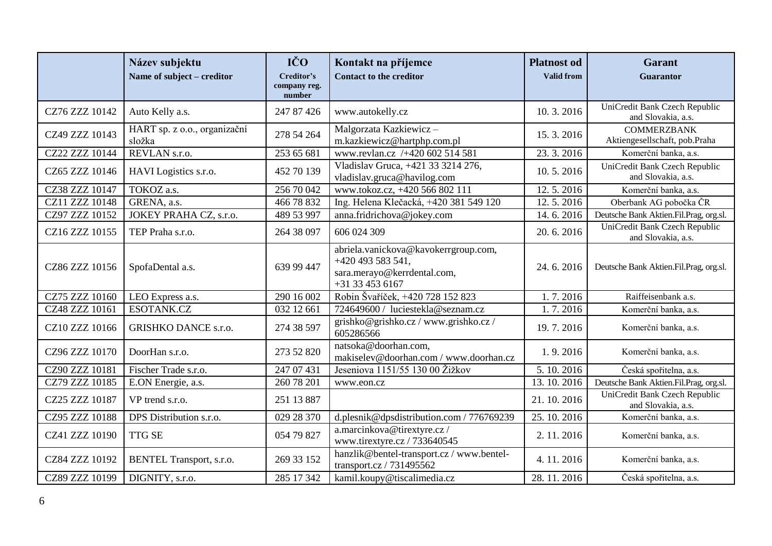|                | Název subjektu<br>Name of subject – creditor | IČO<br>Creditor's<br>company reg.<br>number | Kontakt na příjemce<br><b>Contact to the creditor</b>                                                       | <b>Platnost od</b><br><b>Valid from</b> | <b>Garant</b><br><b>Guarantor</b>                   |
|----------------|----------------------------------------------|---------------------------------------------|-------------------------------------------------------------------------------------------------------------|-----------------------------------------|-----------------------------------------------------|
| CZ76 ZZZ 10142 | Auto Kelly a.s.                              | 247 87 426                                  | www.autokelly.cz                                                                                            | 10.3.2016                               | UniCredit Bank Czech Republic<br>and Slovakia, a.s. |
| CZ49 ZZZ 10143 | HART sp. z o.o., organizační<br>složka       | 278 54 264                                  | Malgorzata Kazkiewicz -<br>m.kazkiewicz@hartphp.com.pl                                                      | 15.3.2016                               | <b>COMMERZBANK</b><br>Aktiengesellschaft, pob.Praha |
| CZ22 ZZZ 10144 | REVLAN s.r.o.                                | 253 65 681                                  | www.revlan.cz /+420 602 514 581                                                                             | 23.3.2016                               | Komerční banka, a.s.                                |
| CZ65 ZZZ 10146 | HAVI Logistics s.r.o.                        | 452 70 139                                  | Vladislav Gruca, +421 33 3214 276,<br>vladislav.gruca@havilog.com                                           | 10.5.2016                               | UniCredit Bank Czech Republic<br>and Slovakia, a.s. |
| CZ38 ZZZ 10147 | TOKOZ a.s.                                   | 256 70 042                                  | www.tokoz.cz, +420 566 802 111                                                                              | 12.5.2016                               | Komerční banka, a.s.                                |
| CZ11 ZZZ 10148 | GRENA, a.s.                                  | 466 78 832                                  | Ing. Helena Klečacká, +420 381 549 120                                                                      | 12.5.2016                               | Oberbank AG pobočka ČR                              |
| CZ97 ZZZ 10152 | JOKEY PRAHA CZ, s.r.o.                       | 489 53 997                                  | anna.fridrichova@jokey.com                                                                                  | 14.6.2016                               | Deutsche Bank Aktien.Fil.Prag, org.sl.              |
| CZ16 ZZZ 10155 | TEP Praha s.r.o.                             | 264 38 097                                  | 606 024 309                                                                                                 | 20.6.2016                               | UniCredit Bank Czech Republic<br>and Slovakia, a.s. |
| CZ86 ZZZ 10156 | SpofaDental a.s.                             | 639 99 447                                  | abriela.vanickova@kavokerrgroup.com,<br>+420 493 583 541,<br>sara.merayo@kerrdental.com,<br>+31 33 453 6167 | 24.6.2016                               | Deutsche Bank Aktien.Fil.Prag, org.sl.              |
| CZ75 ZZZ 10160 | LEO Express a.s.                             | 290 16 002                                  | Robin Švaříček, +420 728 152 823                                                                            | 1.7.2016                                | Raiffeisenbank a.s.                                 |
| CZ48 ZZZ 10161 | ESOTANK.CZ                                   | 032 12 661                                  | 724649600 / luciestekla@seznam.cz                                                                           | 1.7.2016                                | Komerční banka, a.s.                                |
| CZ10 ZZZ 10166 | <b>GRISHKO DANCE s.r.o.</b>                  | 274 38 597                                  | grishko@grishko.cz / www.grishko.cz /<br>605286566                                                          | 19.7.2016                               | Komerční banka, a.s.                                |
| CZ96 ZZZ 10170 | DoorHan s.r.o.                               | 273 52 820                                  | natsoka@doorhan.com,<br>makiselev@doorhan.com / www.doorhan.cz                                              | 1.9.2016                                | Komerční banka, a.s.                                |
| CZ90 ZZZ 10181 | Fischer Trade s.r.o.                         | 247 07 431                                  | Jeseniova 1151/55 130 00 Žižkov                                                                             | 5.10.2016                               | Česká spořitelna, a.s.                              |
| CZ79 ZZZ 10185 | E.ON Energie, a.s.                           | 260 78 201                                  | www.eon.cz                                                                                                  | 13.10.2016                              | Deutsche Bank Aktien.Fil.Prag, org.sl.              |
| CZ25 ZZZ 10187 | VP trend s.r.o.                              | 251 13 887                                  |                                                                                                             | 21.10.2016                              | UniCredit Bank Czech Republic<br>and Slovakia, a.s. |
| CZ95 ZZZ 10188 | DPS Distribution s.r.o.                      | 029 28 370                                  | d.plesnik@dpsdistribution.com / 776769239                                                                   | 25.10.2016                              | Komerční banka, a.s.                                |
| CZ41 ZZZ 10190 | <b>TTG SE</b>                                | 054 79 827                                  | a.marcinkova@tirextyre.cz/<br>www.tirextyre.cz / 733640545                                                  | 2.11.2016                               | Komerční banka, a.s.                                |
| CZ84 ZZZ 10192 | BENTEL Transport, s.r.o.                     | 269 33 152                                  | hanzlik@bentel-transport.cz / www.bentel-<br>transport.cz / 731495562                                       | 4.11.2016                               | Komerční banka, a.s.                                |
| CZ89 ZZZ 10199 | DIGNITY, s.r.o.                              | 285 17 342                                  | kamil.koupy@tiscalimedia.cz                                                                                 | 28.11.2016                              | Česká spořitelna, a.s.                              |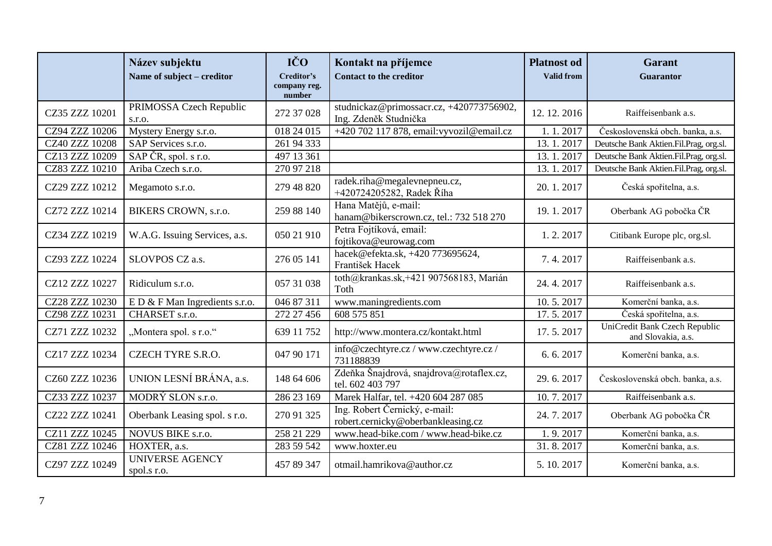|                | Název subjektu<br>Name of subject – creditor | IČO<br>Creditor's<br>company reg.<br>number | Kontakt na příjemce<br><b>Contact to the creditor</b>               | <b>Platnost</b> od<br><b>Valid from</b> | <b>Garant</b><br>Guarantor                          |
|----------------|----------------------------------------------|---------------------------------------------|---------------------------------------------------------------------|-----------------------------------------|-----------------------------------------------------|
| CZ35 ZZZ 10201 | PRIMOSSA Czech Republic<br>S.T.O.            | 272 37 028                                  | studnickaz@primossacr.cz, +420773756902,<br>Ing. Zdeněk Studnička   | 12, 12, 2016                            | Raiffeisenbank a.s.                                 |
| CZ94 ZZZ 10206 | Mystery Energy s.r.o.                        | 018 24 015                                  | +420 702 117 878, email: vyvozil@email.cz                           | 1.1.2017                                | Československá obch. banka, a.s.                    |
| CZ40 ZZZ 10208 | SAP Services s.r.o.                          | 261 94 333                                  |                                                                     | 13.1.2017                               | Deutsche Bank Aktien.Fil.Prag, org.sl.              |
| CZ13 ZZZ 10209 | SAP ČR, spol. s r.o.                         | 497 13 361                                  |                                                                     | 13.1.2017                               | Deutsche Bank Aktien.Fil.Prag, org.sl.              |
| CZ83 ZZZ 10210 | Ariba Czech s.r.o.                           | 270 97 218                                  |                                                                     | 13.1.2017                               | Deutsche Bank Aktien.Fil.Prag, org.sl.              |
| CZ29 ZZZ 10212 | Megamoto s.r.o.                              | 279 48 820                                  | radek.riha@megalevnepneu.cz,<br>+420724205282, Radek Říha           | 20.1.2017                               | Česká spořitelna, a.s.                              |
| CZ72 ZZZ 10214 | BIKERS CROWN, s.r.o.                         | 259 88 140                                  | Hana Matějů, e-mail:<br>hanam@bikerscrown.cz, tel.: 732 518 270     | 19.1.2017                               | Oberbank AG pobočka ČR                              |
| CZ34 ZZZ 10219 | W.A.G. Issuing Services, a.s.                | 050 21 910                                  | Petra Fojtíková, email:<br>fojtikova@eurowag.com                    | 1.2.2017                                | Citibank Europe plc, org.sl.                        |
| CZ93 ZZZ 10224 | SLOVPOS CZ a.s.                              | 276 05 141                                  | hacek@efekta.sk, +420 773695624,<br>František Hacek                 | 7.4.2017                                | Raiffeisenbank a.s.                                 |
| CZ12 ZZZ 10227 | Ridiculum s.r.o.                             | 057 31 038                                  | toth@krankas.sk,+421 907568183, Marián<br>Toth                      | 24.4.2017                               | Raiffeisenbank a.s.                                 |
| CZ28 ZZZ 10230 | $E D & F$ Man Ingredients s.r.o.             | 046 87 311                                  | www.maningredients.com                                              | 10.5.2017                               | Komerční banka, a.s.                                |
| CZ98 ZZZ 10231 | CHARSET s.r.o.                               | 272 27 456                                  | 608 575 851                                                         | 17.5.2017                               | Česká spořitelna, a.s.                              |
| CZ71 ZZZ 10232 | "Montera spol. s r.o."                       | 639 11 752                                  | http://www.montera.cz/kontakt.html                                  | 17.5.2017                               | UniCredit Bank Czech Republic<br>and Slovakia, a.s. |
| CZ17 ZZZ 10234 | <b>CZECH TYRE S.R.O.</b>                     | 047 90 171                                  | info@czechtyre.cz / www.czechtyre.cz /<br>731188839                 | 6.6.2017                                | Komerční banka, a.s.                                |
| CZ60 ZZZ 10236 | UNION LESNÍ BRÁNA, a.s.                      | 148 64 606                                  | Zdeňka Šnajdrová, snajdrova@rotaflex.cz,<br>tel. 602 403 797        | 29.6.2017                               | Československá obch. banka, a.s.                    |
| CZ33 ZZZ 10237 | MODRÝ SLON s.r.o.                            | 286 23 169                                  | Marek Halfar, tel. +420 604 287 085                                 | 10.7.2017                               | Raiffeisenbank a.s.                                 |
| CZ22 ZZZ 10241 | Oberbank Leasing spol. s r.o.                | 270 91 325                                  | Ing. Robert Černický, e-mail:<br>robert.cernicky@oberbankleasing.cz | 24.7.2017                               | Oberbank AG pobočka ČR                              |
| CZ11 ZZZ 10245 | NOVUS BIKE s.r.o.                            | 258 21 229                                  | www.head-bike.com / www.head-bike.cz                                | 1.9.2017                                | Komerční banka, a.s.                                |
| CZ81 ZZZ 10246 | HOXTER, a.s.                                 | 283 59 542                                  | www.hoxter.eu                                                       | 31.8.2017                               | Komerční banka, a.s.                                |
| CZ97 ZZZ 10249 | <b>UNIVERSE AGENCY</b><br>spol.s r.o.        | 457 89 347                                  | otmail.hamrikova@author.cz                                          | 5.10.2017                               | Komerční banka, a.s.                                |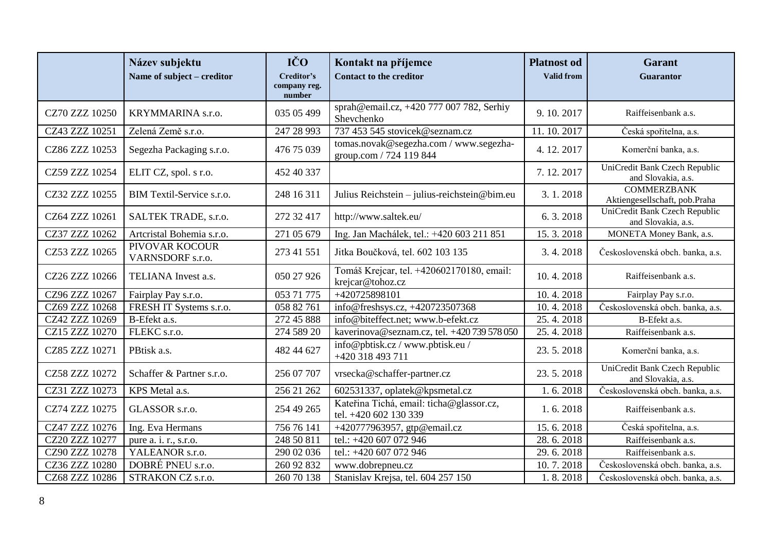|                | Název subjektu<br>Name of subject – creditor | IČO<br>Creditor's<br>company reg.<br>number | Kontakt na příjemce<br><b>Contact to the creditor</b>             | <b>Platnost</b> od<br><b>Valid from</b> | <b>Garant</b><br><b>Guarantor</b>                   |
|----------------|----------------------------------------------|---------------------------------------------|-------------------------------------------------------------------|-----------------------------------------|-----------------------------------------------------|
| CZ70 ZZZ 10250 | KRYMMARINA s.r.o.                            | 035 05 499                                  | sprah@email.cz, +420 777 007 782, Serhiy<br>Shevchenko            | 9.10.2017                               | Raiffeisenbank a.s.                                 |
| CZ43 ZZZ 10251 | Zelená Země s.r.o.                           | 247 28 993                                  | 737 453 545 stovicek@seznam.cz                                    | 11.10.2017                              | Česká spořitelna, a.s.                              |
| CZ86 ZZZ 10253 | Segezha Packaging s.r.o.                     | 476 75 039                                  | tomas.novak@segezha.com / www.segezha-<br>group.com / 724 119 844 | 4.12.2017                               | Komerční banka, a.s.                                |
| CZ59 ZZZ 10254 | ELIT CZ, spol. s r.o.                        | 452 40 337                                  |                                                                   | 7.12.2017                               | UniCredit Bank Czech Republic<br>and Slovakia, a.s. |
| CZ32 ZZZ 10255 | BIM Textil-Service s.r.o.                    | 248 16 311                                  | Julius Reichstein - julius-reichstein@bim.eu                      | 3.1.2018                                | <b>COMMERZBANK</b><br>Aktiengesellschaft, pob.Praha |
| CZ64 ZZZ 10261 | SALTEK TRADE, s.r.o.                         | 272 32 417                                  | http://www.saltek.eu/                                             | 6.3.2018                                | UniCredit Bank Czech Republic<br>and Slovakia, a.s. |
| CZ37 ZZZ 10262 | Artcristal Bohemia s.r.o.                    | 271 05 679                                  | Ing. Jan Machálek, tel.: +420 603 211 851                         | 15.3.2018                               | MONETA Money Bank, a.s.                             |
| CZ53 ZZZ 10265 | PIVOVAR KOCOUR<br>VARNSDORF s.r.o.           | 273 41 551                                  | Jitka Boučková, tel. 602 103 135                                  | 3.4.2018                                | Československá obch. banka, a.s.                    |
| CZ26 ZZZ 10266 | TELIANA Invest a.s.                          | 050 27 926                                  | Tomáš Krejcar, tel. +420602170180, email:<br>krejcar@tohoz.cz     | 10.4.2018                               | Raiffeisenbank a.s.                                 |
| CZ96 ZZZ 10267 | Fairplay Pay s.r.o.                          | 053 71 775                                  | +420725898101                                                     | 10.4.2018                               | Fairplay Pay s.r.o.                                 |
| CZ69 ZZZ 10268 | FRESH IT Systems s.r.o.                      | 058 82 761                                  | info@freshsys.cz, +420723507368                                   | 10.4.2018                               | Československá obch. banka, a.s.                    |
| CZ42 ZZZ 10269 | B-Efekt a.s.                                 | 272 45 888                                  | info@biteffect.net; www.b-efekt.cz                                | 25.4.2018                               | B-Efekt a.s.                                        |
| CZ15 ZZZ 10270 | FLEKC s.r.o.                                 | 274 589 20                                  | kaverinova@seznam.cz, tel. +420 739 578 050                       | 25.4.2018                               | Raiffeisenbank a.s.                                 |
| CZ85 ZZZ 10271 | PBtisk a.s.                                  | 482 44 627                                  | info@pbtisk.cz / www.pbtisk.eu /<br>+420 318 493 711              | 23.5.2018                               | Komerční banka, a.s.                                |
| CZ58 ZZZ 10272 | Schaffer & Partner s.r.o.                    | 256 07 707                                  | vrsecka@schaffer-partner.cz                                       | 23.5.2018                               | UniCredit Bank Czech Republic<br>and Slovakia, a.s. |
| CZ31 ZZZ 10273 | KPS Metal a.s.                               | 256 21 262                                  | 602531337, oplatek@kpsmetal.cz                                    | 1.6.2018                                | Československá obch. banka, a.s.                    |
| CZ74 ZZZ 10275 | GLASSOR s.r.o.                               | 254 49 265                                  | Kateřina Tichá, email: ticha@glassor.cz,<br>tel. +420 602 130 339 | 1.6.2018                                | Raiffeisenbank a.s.                                 |
| CZ47 ZZZ 10276 | Ing. Eva Hermans                             | 756 76 141                                  | +420777963957, gtp@email.cz                                       | 15.6.2018                               | Česká spořitelna, a.s.                              |
| CZ20 ZZZ 10277 | pure a. i. r., s.r.o.                        | 248 50 811                                  | tel.: +420 607 072 946                                            | 28.6.2018                               | Raiffeisenbank a.s.                                 |
| CZ90 ZZZ 10278 | YALEANOR s.r.o.                              | 290 02 036                                  | tel.: +420 607 072 946                                            | 29.6.2018                               | Raiffeisenbank a.s.                                 |
| CZ36 ZZZ 10280 | DOBRÉ PNEU s.r.o.                            | 260 92 832                                  | www.dobrepneu.cz                                                  | 10.7.2018                               | Československá obch. banka, a.s.                    |
| CZ68 ZZZ 10286 | STRAKON CZ s.r.o.                            | 260 70 138                                  | Stanislav Krejsa, tel. 604 257 150                                | 1.8.2018                                | Československá obch. banka, a.s.                    |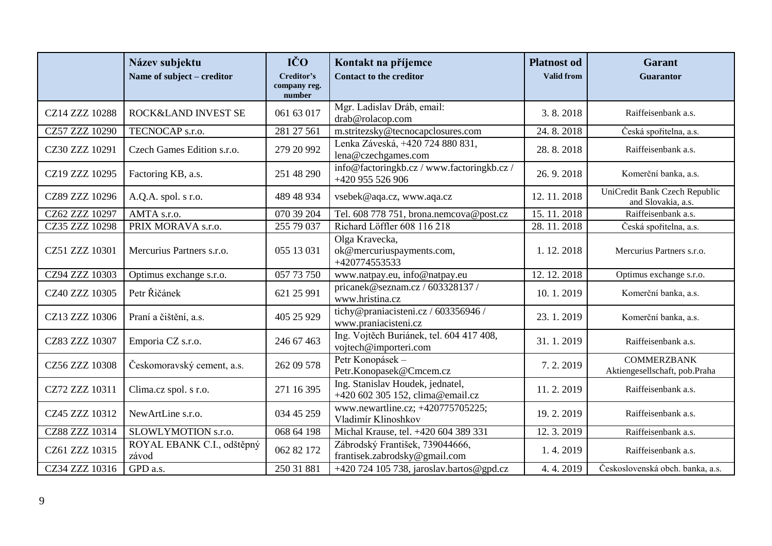|                | Název subjektu<br>Name of subject – creditor | IČO<br>Creditor's<br>company reg.<br>number | Kontakt na příjemce<br><b>Contact to the creditor</b>                | <b>Platnost</b> od<br><b>Valid from</b> | <b>Garant</b><br><b>Guarantor</b>                   |
|----------------|----------------------------------------------|---------------------------------------------|----------------------------------------------------------------------|-----------------------------------------|-----------------------------------------------------|
| CZ14 ZZZ 10288 | ROCK&LAND INVEST SE                          | 061 63 017                                  | Mgr. Ladislav Dráb, email:<br>drab@rolacop.com                       | 3.8.2018                                | Raiffeisenbank a.s.                                 |
| CZ57 ZZZ 10290 | TECNOCAP s.r.o.                              | 281 27 561                                  | m.stritezsky@tecnocapclosures.com                                    | 24.8.2018                               | Česká spořitelna, a.s.                              |
| CZ30 ZZZ 10291 | Czech Games Edition s.r.o.                   | 279 20 992                                  | Lenka Záveská, +420 724 880 831,<br>lena@czechgames.com              | 28.8.2018                               | Raiffeisenbank a.s.                                 |
| CZ19 ZZZ 10295 | Factoring KB, a.s.                           | 251 48 290                                  | info@factoringkb.cz / www.factoringkb.cz /<br>+420 955 526 906       | 26.9.2018                               | Komerční banka, a.s.                                |
| CZ89 ZZZ 10296 | A.Q.A. spol. s r.o.                          | 489 48 934                                  | vsebek@aqa.cz, www.aqa.cz                                            | 12.11.2018                              | UniCredit Bank Czech Republic<br>and Slovakia, a.s. |
| CZ62 ZZZ 10297 | AMTA s.r.o.                                  | 070 39 204                                  | Tel. 608 778 751, brona.nemcova@post.cz                              | 15.11.2018                              | Raiffeisenbank a.s.                                 |
| CZ35 ZZZ 10298 | PRIX MORAVA s.r.o.                           | 255 79 037                                  | Richard Löffler 608 116 218                                          | 28.11.2018                              | Česká spořitelna, a.s.                              |
| CZ51 ZZZ 10301 | Mercurius Partners s.r.o.                    | 055 13 031                                  | Olga Kravecka,<br>ok@mercuriuspayments.com,<br>+420774553533         | 1.12.2018                               | Mercurius Partners s.r.o.                           |
| CZ94 ZZZ 10303 | Optimus exchange s.r.o.                      | 057 73 750                                  | www.natpay.eu, info@natpay.eu                                        | 12.12.2018                              | Optimus exchange s.r.o.                             |
| CZ40 ZZZ 10305 | Petr Řičánek                                 | 621 25 991                                  | pricanek@seznam.cz/603328137/<br>www.hristina.cz                     | 10.1.2019                               | Komerční banka, a.s.                                |
| CZ13 ZZZ 10306 | Praní a čištění, a.s.                        | 405 25 929                                  | tichy@praniacisteni.cz / 603356946 /<br>www.praniacisteni.cz         | 23.1.2019                               | Komerční banka, a.s.                                |
| CZ83 ZZZ 10307 | Emporia CZ s.r.o.                            | 246 67 463                                  | Ing. Vojtěch Buriánek, tel. 604 417 408,<br>vojtech@importeri.com    | 31.1.2019                               | Raiffeisenbank a.s.                                 |
| CZ56 ZZZ 10308 | Českomoravský cement, a.s.                   | 262 09 578                                  | Petr Konopásek -<br>Petr.Konopasek@Cmcem.cz                          | 7.2.2019                                | <b>COMMERZBANK</b><br>Aktiengesellschaft, pob.Praha |
| CZ72 ZZZ 10311 | Clima.cz spol. s r.o.                        | 271 16 395                                  | Ing. Stanislav Houdek, jednatel,<br>+420 602 305 152, clima@email.cz | 11.2.2019                               | Raiffeisenbank a.s.                                 |
| CZ45 ZZZ 10312 | NewArtLine s.r.o.                            | 034 45 259                                  | www.newartline.cz; +420775705225;<br>Vladimír Klinoshkov             | 19.2.2019                               | Raiffeisenbank a.s.                                 |
| CZ88 ZZZ 10314 | SLOWLYMOTION s.r.o.                          | 068 64 198                                  | Michal Krause, tel. +420 604 389 331                                 | 12.3.2019                               | Raiffeisenbank a.s.                                 |
| CZ61 ZZZ 10315 | ROYAL EBANK C.I., odštěpný<br>závod          | 062 82 172                                  | Zábrodský František, 739044666,<br>frantisek.zabrodsky@gmail.com     | 1.4.2019                                | Raiffeisenbank a.s.                                 |
| CZ34 ZZZ 10316 | GPD a.s.                                     | 250 31 881                                  | +420 724 105 738, jaroslav.bartos@gpd.cz                             | 4.4.2019                                | Československá obch. banka, a.s.                    |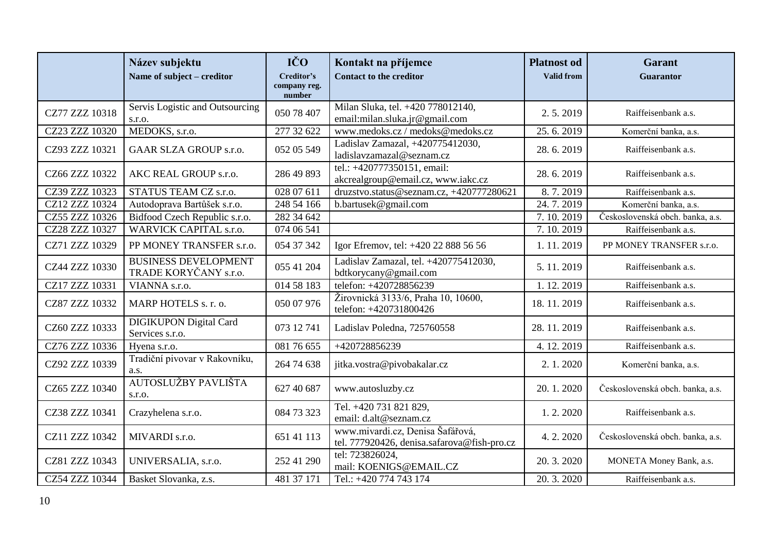|                | Název subjektu<br>Name of subject - creditor         | IČO<br>Creditor's<br>company reg.<br>number | Kontakt na příjemce<br><b>Contact to the creditor</b>                           | <b>Platnost od</b><br><b>Valid from</b> | <b>Garant</b><br>Guarantor       |
|----------------|------------------------------------------------------|---------------------------------------------|---------------------------------------------------------------------------------|-----------------------------------------|----------------------------------|
| CZ77 ZZZ 10318 | Servis Logistic and Outsourcing<br>s.r.o.            | 050 78 407                                  | Milan Sluka, tel. +420 778012140,<br>email:milan.sluka.jr@gmail.com             | 2.5.2019                                | Raiffeisenbank a.s.              |
| CZ23 ZZZ 10320 | MEDOKS, s.r.o.                                       | 277 32 622                                  | www.medoks.cz / medoks@medoks.cz                                                | 25.6.2019                               | Komerční banka, a.s.             |
| CZ93 ZZZ 10321 | <b>GAAR SLZA GROUP s.r.o.</b>                        | 052 05 549                                  | Ladislav Zamazal, +420775412030,<br>ladislavzamazal@seznam.cz                   | 28.6.2019                               | Raiffeisenbank a.s.              |
| CZ66 ZZZ 10322 | AKC REAL GROUP s.r.o.                                | 286 49 893                                  | tel.: +420777350151, email:<br>akcrealgroup@email.cz, www.iakc.cz               | 28.6.2019                               | Raiffeisenbank a.s.              |
| CZ39 ZZZ 10323 | STATUS TEAM CZ s.r.o.                                | 028 07 611                                  | druzstvo.status@seznam.cz, +420777280621                                        | 8.7.2019                                | Raiffeisenbank a.s.              |
| CZ12 ZZZ 10324 | Autodoprava Bartůšek s.r.o.                          | 248 54 166                                  | b.bartusek@gmail.com                                                            | 24.7.2019                               | Komerční banka, a.s.             |
| CZ55 ZZZ 10326 | Bidfood Czech Republic s.r.o.                        | 282 34 642                                  |                                                                                 | 7.10.2019                               | Československá obch. banka, a.s. |
| CZ28 ZZZ 10327 | <b>WARVICK CAPITAL s.r.o.</b>                        | 074 06 541                                  |                                                                                 | 7.10.2019                               | Raiffeisenbank a.s.              |
| CZ71 ZZZ 10329 | PP MONEY TRANSFER s.r.o.                             | 054 37 342                                  | Igor Efremov, tel: +420 22 888 56 56                                            | 1.11.2019                               | PP MONEY TRANSFER s.r.o.         |
| CZ44 ZZZ 10330 | <b>BUSINESS DEVELOPMENT</b><br>TRADE KORYČANY s.r.o. | 055 41 204                                  | Ladislav Zamazal, tel. +420775412030,<br>bdtkorycany@gmail.com                  | 5.11.2019                               | Raiffeisenbank a.s.              |
| CZ17 ZZZ 10331 | VIANNA s.r.o.                                        | 014 58 183                                  | telefon: +420728856239                                                          | 1.12.2019                               | Raiffeisenbank a.s.              |
| CZ87 ZZZ 10332 | MARP HOTELS s. r. o.                                 | 050 07 976                                  | Žirovnická 3133/6, Praha 10, 10600,<br>telefon: +420731800426                   | 18.11.2019                              | Raiffeisenbank a.s.              |
| CZ60 ZZZ 10333 | <b>DIGIKUPON Digital Card</b><br>Services s.r.o.     | 073 12 741                                  | Ladislav Poledna, 725760558                                                     | 28.11.2019                              | Raiffeisenbank a.s.              |
| CZ76 ZZZ 10336 | Hyena s.r.o.                                         | 081 76 655                                  | +420728856239                                                                   | 4.12.2019                               | Raiffeisenbank a.s.              |
| CZ92 ZZZ 10339 | Tradiční pivovar v Rakovníku,<br>a.s.                | 264 74 638                                  | jitka.vostra@pivobakalar.cz                                                     | 2.1.2020                                | Komerční banka, a.s.             |
| CZ65 ZZZ 10340 | AUTOSLUŽBY PAVLIŠTA<br>s.r.o.                        | 627 40 687                                  | www.autosluzby.cz                                                               | 20.1.2020                               | Československá obch. banka, a.s. |
| CZ38 ZZZ 10341 | Crazyhelena s.r.o.                                   | 084 73 323                                  | Tel. +420 731 821 829,<br>email: d.alt@seznam.cz                                | 1.2.2020                                | Raiffeisenbank a.s.              |
| CZ11 ZZZ 10342 | MIVARDI s.r.o.                                       | 651 41 113                                  | www.mivardi.cz, Denisa Šafářová,<br>tel. 777920426, denisa.safarova@fish-pro.cz | 4.2.2020                                | Československá obch. banka, a.s. |
| CZ81 ZZZ 10343 | UNIVERSALIA, s.r.o.                                  | 252 41 290                                  | tel: 723826024,<br>mail: KOENIGS@EMAIL.CZ                                       | 20.3.2020                               | MONETA Money Bank, a.s.          |
| CZ54 ZZZ 10344 | Basket Slovanka, z.s.                                | 481 37 171                                  | Tel.: +420 774 743 174                                                          | 20.3.2020                               | Raiffeisenbank a.s.              |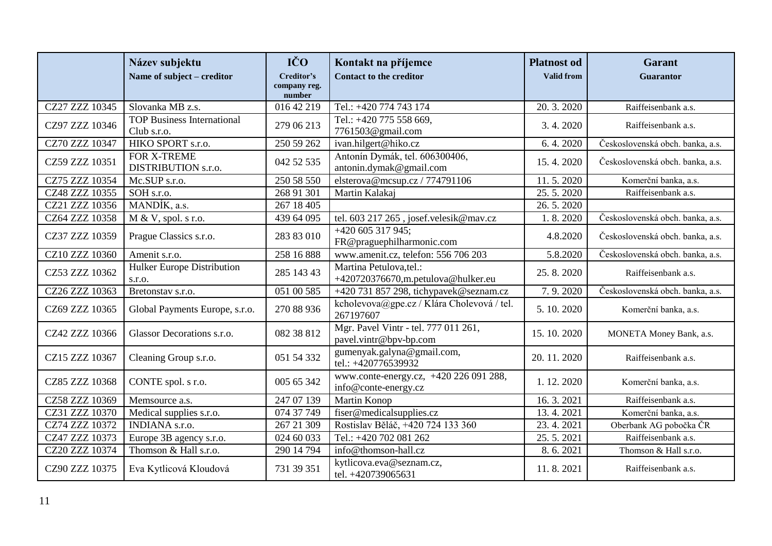|                | Název subjektu                                   | IČO<br>Creditor's      | Kontakt na příjemce                                            | <b>Platnost od</b><br><b>Valid from</b> | <b>Garant</b>                    |
|----------------|--------------------------------------------------|------------------------|----------------------------------------------------------------|-----------------------------------------|----------------------------------|
|                | Name of subject – creditor                       | company reg.<br>number | <b>Contact to the creditor</b>                                 |                                         | <b>Guarantor</b>                 |
| CZ27 ZZZ 10345 | Slovanka MB z.s.                                 | 016 42 219             | Tel.: +420 774 743 174                                         | 20.3.2020                               | Raiffeisenbank a.s.              |
| CZ97 ZZZ 10346 | <b>TOP Business International</b><br>Club s.r.o. | 279 06 213             | Tel.: +420 775 558 669,<br>7761503@gmail.com                   | 3.4.2020                                | Raiffeisenbank a.s.              |
| CZ70 ZZZ 10347 | HIKO SPORT s.r.o.                                | 250 59 262             | ivan.hilgert@hiko.cz                                           | 6.4.2020                                | Československá obch. banka, a.s. |
| CZ59 ZZZ 10351 | FOR X-TREME<br>DISTRIBUTION s.r.o.               | 042 52 535             | Antonín Dymák, tel. 606300406,<br>antonin.dymak@gmail.com      | 15.4.2020                               | Československá obch. banka, a.s. |
| CZ75 ZZZ 10354 | Mc.SUP s.r.o.                                    | 250 58 550             | elsterova@mcsup.cz/774791106                                   | 11.5.2020                               | Komerční banka, a.s.             |
| CZ48 ZZZ 10355 | SOH s.r.o.                                       | 268 91 301             | Martin Kalakaj                                                 | 25.5.2020                               | Raiffeisenbank a.s.              |
| CZ21 ZZZ 10356 | MANDÍK, a.s.                                     | 267 18 405             |                                                                | 26.5.2020                               |                                  |
| CZ64 ZZZ 10358 | $M & V$ , spol. s r.o.                           | 439 64 095             | tel. 603 217 265, josef.velesik@mav.cz                         | 1.8.2020                                | Československá obch. banka, a.s. |
| CZ37 ZZZ 10359 | Prague Classics s.r.o.                           | 283 83 010             | +420 605 317 945;<br>FR@praguephilharmonic.com                 | 4.8.2020                                | Československá obch. banka, a.s. |
| CZ10 ZZZ 10360 | Amenit s.r.o.                                    | 258 16 888             | www.amenit.cz, telefon: 556 706 203                            | 5.8.2020                                | Československá obch. banka, a.s. |
| CZ53 ZZZ 10362 | Hulker Europe Distribution<br>s.r.o.             | 285 143 43             | Martina Petulova, tel.:<br>+420720376670,m.petulova@hulker.eu  | 25.8.2020                               | Raiffeisenbank a.s.              |
| CZ26 ZZZ 10363 | Bretonstav s.r.o.                                | 051 00 585             | +420 731 857 298, tichypavek@seznam.cz                         | 7.9.2020                                | Československá obch. banka, a.s. |
| CZ69 ZZZ 10365 | Global Payments Europe, s.r.o.                   | 270 88 936             | kcholevova@gpe.cz / Klára Cholevová / tel.<br>267197607        | 5.10.2020                               | Komerční banka, a.s.             |
| CZ42 ZZZ 10366 | Glassor Decorations s.r.o.                       | 082 38 812             | Mgr. Pavel Vintr - tel. 777 011 261,<br>pavel.vintr@bpv-bp.com | 15.10.2020                              | MONETA Money Bank, a.s.          |
| CZ15 ZZZ 10367 | Cleaning Group s.r.o.                            | 051 54 332             | gumenyak.galyna@gmail.com,<br>tel.: +420776539932              | 20.11.2020                              | Raiffeisenbank a.s.              |
| CZ85 ZZZ 10368 | CONTE spol. s r.o.                               | 005 65 342             | www.conte-energy.cz, +420 226 091 288,<br>info@conte-energy.cz | 1.12.2020                               | Komerční banka, a.s.             |
| CZ58 ZZZ 10369 | Memsource a.s.                                   | 247 07 139             | Martin Konop                                                   | 16.3.2021                               | Raiffeisenbank a.s.              |
| CZ31 ZZZ 10370 | Medical supplies s.r.o.                          | 074 37 749             | fiser@medicalsupplies.cz                                       | 13.4.2021                               | Komerční banka, a.s.             |
| CZ74 ZZZ 10372 | <b>INDIANA</b> s.r.o.                            | 267 21 309             | Rostislav Běláč, +420 724 133 360                              | 23.4.2021                               | Oberbank AG pobočka ČR           |
| CZ47 ZZZ 10373 | Europe 3B agency s.r.o.                          | 024 60 033             | Tel.: +420 702 081 262                                         | 25.5.2021                               | Raiffeisenbank a.s.              |
| CZ20 ZZZ 10374 | Thomson & Hall s.r.o.                            | 290 14 794             | info@thomson-hall.cz                                           | 8.6.2021                                | Thomson & Hall s.r.o.            |
| CZ90 ZZZ 10375 | Eva Kytlicová Kloudová                           | 731 39 351             | kytlicova.eva@seznam.cz,<br>tel. +420739065631                 | 11.8.2021                               | Raiffeisenbank a.s.              |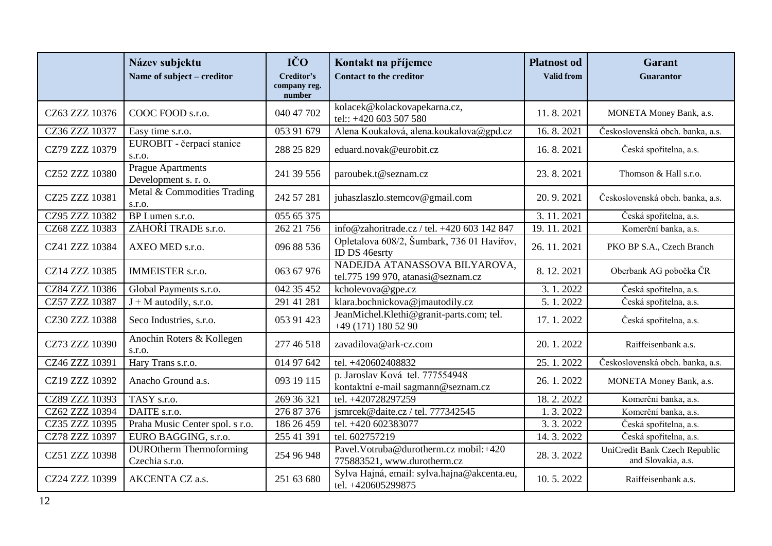|                | Název subjektu<br>Name of subject – creditor     | IČO<br>Creditor's<br>company reg.<br>number | Kontakt na příjemce<br><b>Contact to the creditor</b>                 | <b>Platnost od</b><br>Valid from | <b>Garant</b><br>Guarantor                          |
|----------------|--------------------------------------------------|---------------------------------------------|-----------------------------------------------------------------------|----------------------------------|-----------------------------------------------------|
| CZ63 ZZZ 10376 | COOC FOOD s.r.o.                                 | 040 47 702                                  | kolacek@kolackovapekarna.cz,<br>tel:: +420 603 507 580                | 11.8.2021                        | MONETA Money Bank, a.s.                             |
| CZ36 ZZZ 10377 | Easy time s.r.o.                                 | 053 91 679                                  | Alena Koukalová, alena.koukalova@gpd.cz                               | 16.8.2021                        | Československá obch. banka, a.s.                    |
| CZ79 ZZZ 10379 | EUROBIT - čerpací stanice<br>s.r.o.              | 288 25 829                                  | eduard.novak@eurobit.cz                                               | 16.8.2021                        | Česká spořitelna, a.s.                              |
| CZ52 ZZZ 10380 | <b>Prague Apartments</b><br>Development s. r. o. | 241 39 556                                  | paroubek.t@seznam.cz                                                  | 23.8.2021                        | Thomson & Hall s.r.o.                               |
| CZ25 ZZZ 10381 | Metal & Commodities Trading<br>s.r.o.            | 242 57 281                                  | juhaszlaszlo.stemcov@gmail.com                                        | 20.9.2021                        | Československá obch. banka, a.s.                    |
| CZ95 ZZZ 10382 | BP Lumen s.r.o.                                  | 055 65 375                                  |                                                                       | 3.11.2021                        | Česká spořitelna, a.s.                              |
| CZ68 ZZZ 10383 | ZÁHOŘÍ TRADE s.r.o.                              | 262 21 756                                  | info@zahoritrade.cz / tel. +420 603 142 847                           | 19.11.2021                       | Komerční banka, a.s.                                |
| CZ41 ZZZ 10384 | AXEO MED s.r.o.                                  | 096 88 536                                  | Opletalova 608/2, Šumbark, 736 01 Havířov,<br>ID DS 46esrty           | 26.11.2021                       | PKO BP S.A., Czech Branch                           |
| CZ14 ZZZ 10385 | <b>IMMEISTER</b> s.r.o.                          | 063 67 976                                  | NADEJDA ATANASSOVA BILYAROVA,<br>tel.775 199 970, atanasi@seznam.cz   | 8.12.2021                        | Oberbank AG pobočka ČR                              |
| CZ84 ZZZ 10386 | Global Payments s.r.o.                           | 042 35 452                                  | kcholevova@gpe.cz                                                     | 3.1.2022                         | Česká spořitelna, a.s.                              |
| CZ57 ZZZ 10387 | $J + M$ autodíly, s.r.o.                         | 291 41 281                                  | klara.bochnickova@jmautodily.cz                                       | 5.1.2022                         | Česká spořitelna, a.s.                              |
| CZ30 ZZZ 10388 | Seco Industries, s.r.o.                          | 053 91 423                                  | JeanMichel.Klethi@granit-parts.com; tel.<br>$+49(171)1805290$         | 17.1.2022                        | Česká spořitelna, a.s.                              |
| CZ73 ZZZ 10390 | Anochin Roters & Kollegen<br>S.T.O.              | 277 46 518                                  | zavadilova@ark-cz.com                                                 | 20.1.2022                        | Raiffeisenbank a.s.                                 |
| CZ46 ZZZ 10391 | Hary Trans s.r.o.                                | 014 97 642                                  | tel. +420602408832                                                    | 25.1.2022                        | Československá obch. banka, a.s.                    |
| CZ19 ZZZ 10392 | Anacho Ground a.s.                               | 093 19 115                                  | p. Jaroslav Ková tel. 777554948<br>kontaktní e-mail sagmann@seznam.cz | 26.1.2022                        | MONETA Money Bank, a.s.                             |
| CZ89 ZZZ 10393 | TASY s.r.o.                                      | 269 36 321                                  | tel. +420728297259                                                    | 18.2.2022                        | Komerční banka, a.s.                                |
| CZ62 ZZZ 10394 | DAITE s.r.o.                                     | 276 87 376                                  | jsmrcek@daite.cz / tel. 777342545                                     | 1.3.2022                         | Komerční banka, a.s.                                |
| CZ35 ZZZ 10395 | Praha Music Center spol. s r.o.                  | 186 26 459                                  | tel. +420 602383077                                                   | 3.3.2022                         | Česká spořitelna, a.s.                              |
| CZ78 ZZZ 10397 | EURO BAGGING, s.r.o.                             | 255 41 391                                  | tel. 602757219                                                        | 14.3.2022                        | Česká spořitelna, a.s.                              |
| CZ51 ZZZ 10398 | <b>DUROtherm Thermoforming</b><br>Czechia s.r.o. | 254 96 948                                  | Pavel. Votruba@durotherm.cz mobil:+420<br>775883521, www.durotherm.cz | 28.3.2022                        | UniCredit Bank Czech Republic<br>and Slovakia, a.s. |
| CZ24 ZZZ 10399 | AKCENTA CZ a.s.                                  | 251 63 680                                  | Sylva Hajná, email: sylva.hajna@akcenta.eu,<br>tel. +420605299875     | 10.5.2022                        | Raiffeisenbank a.s.                                 |